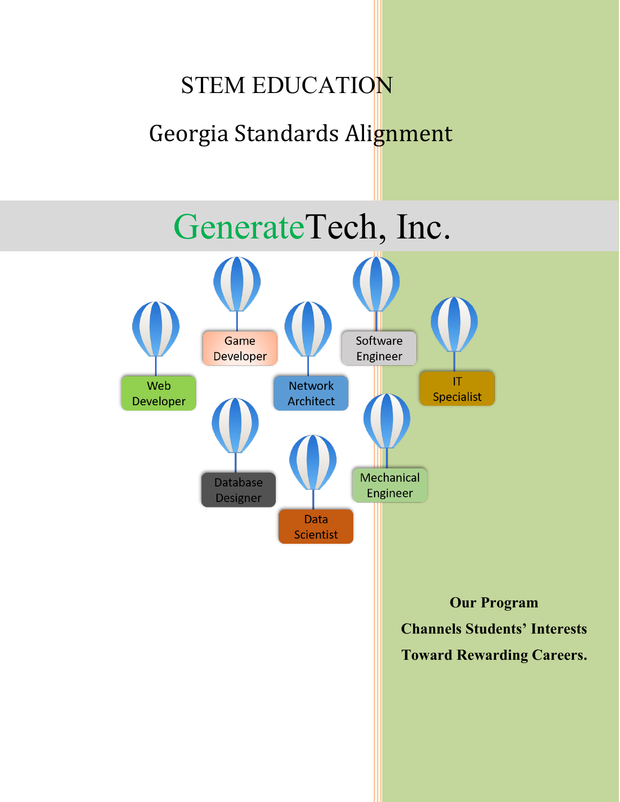# STEM EDUCATION Georgia Standards Alignment

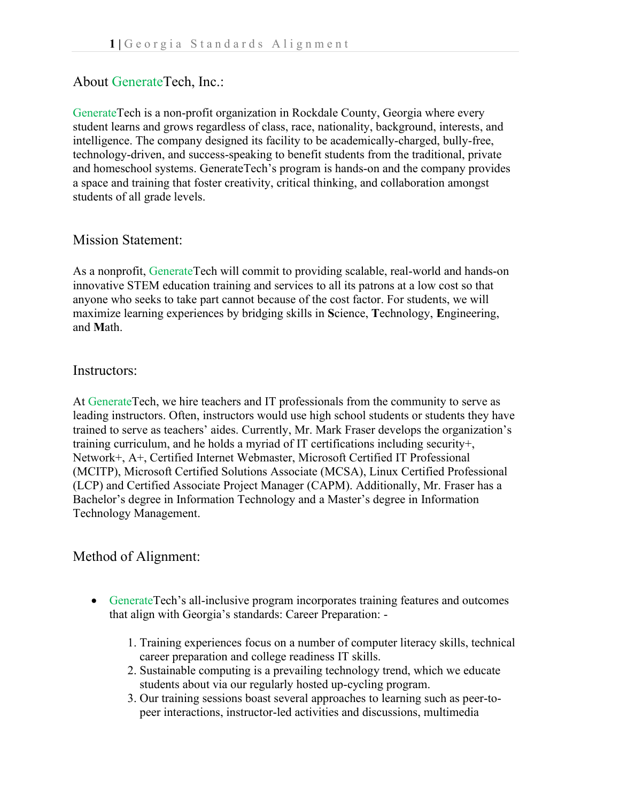## About GenerateTech, Inc.:

GenerateTech is a non-profit organization in Rockdale County, Georgia where every student learns and grows regardless of class, race, nationality, background, interests, and intelligence. The company designed its facility to be academically-charged, bully-free, technology-driven, and success-speaking to benefit students from the traditional, private and homeschool systems. GenerateTech's program is hands-on and the company provides a space and training that foster creativity, critical thinking, and collaboration amongst students of all grade levels.

### Mission Statement:

As a nonprofit, GenerateTech will commit to providing scalable, real-world and hands-on innovative STEM education training and services to all its patrons at a low cost so that anyone who seeks to take part cannot because of the cost factor. For students, we will maximize learning experiences by bridging skills in **S**cience, **T**echnology, **E**ngineering, and **M**ath.

#### Instructors:

At GenerateTech, we hire teachers and IT professionals from the community to serve as leading instructors. Often, instructors would use high school students or students they have trained to serve as teachers' aides. Currently, Mr. Mark Fraser develops the organization's training curriculum, and he holds a myriad of IT certifications including security+, Network+, A+, Certified Internet Webmaster, Microsoft Certified IT Professional (MCITP), Microsoft Certified Solutions Associate (MCSA), Linux Certified Professional (LCP) and Certified Associate Project Manager (CAPM). Additionally, Mr. Fraser has a Bachelor's degree in Information Technology and a Master's degree in Information Technology Management.

## Method of Alignment:

- GenerateTech's all-inclusive program incorporates training features and outcomes that align with Georgia's standards: Career Preparation: -
	- 1. Training experiences focus on a number of computer literacy skills, technical career preparation and college readiness IT skills.
	- 2. Sustainable computing is a prevailing technology trend, which we educate students about via our regularly hosted up-cycling program.
	- 3. Our training sessions boast several approaches to learning such as peer-to peer interactions, instructor-led activities and discussions, multimedia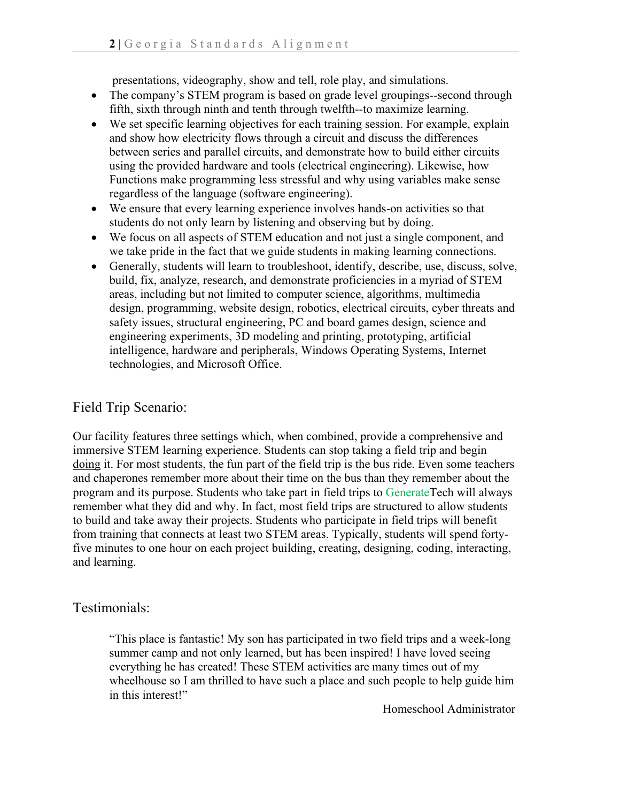presentations, videography, show and tell, role play, and simulations.

- The company's STEM program is based on grade level groupings--second through fifth, sixth through ninth and tenth through twelfth--to maximize learning.
- We set specific learning objectives for each training session. For example, explain and show how electricity flows through a circuit and discuss the differences between series and parallel circuits, and demonstrate how to build either circuits using the provided hardware and tools (electrical engineering). Likewise, how Functions make programming less stressful and why using variables make sense regardless of the language (software engineering).
- We ensure that every learning experience involves hands-on activities so that students do not only learn by listening and observing but by doing.
- We focus on all aspects of STEM education and not just a single component, and we take pride in the fact that we guide students in making learning connections.
- Generally, students will learn to troubleshoot, identify, describe, use, discuss, solve, build, fix, analyze, research, and demonstrate proficiencies in a myriad of STEM areas, including but not limited to computer science, algorithms, multimedia design, programming, website design, robotics, electrical circuits, cyber threats and safety issues, structural engineering, PC and board games design, science and engineering experiments, 3D modeling and printing, prototyping, artificial intelligence, hardware and peripherals, Windows Operating Systems, Internet technologies, and Microsoft Office.

# Field Trip Scenario:

Our facility features three settings which, when combined, provide a comprehensive and immersive STEM learning experience. Students can stop taking a field trip and begin doing it. For most students, the fun part of the field trip is the bus ride. Even some teachers and chaperones remember more about their time on the bus than they remember about the program and its purpose. Students who take part in field trips to GenerateTech will always remember what they did and why. In fact, most field trips are structured to allow students to build and take away their projects. Students who participate in field trips will benefit from training that connects at least two STEM areas. Typically, students will spend fortyfive minutes to one hour on each project building, creating, designing, coding, interacting, and learning.

## Testimonials:

"This place is fantastic! My son has participated in two field trips and a week-long summer camp and not only learned, but has been inspired! I have loved seeing everything he has created! These STEM activities are many times out of my wheelhouse so I am thrilled to have such a place and such people to help guide him in this interest!"

Homeschool Administrator